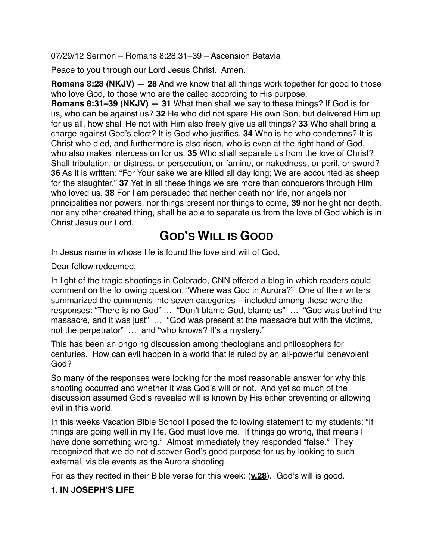07/29/12 Sermon – Romans 8:28,31–39 – Ascension Batavia

Peace to you through our Lord Jesus Christ. Amen.

**Romans 8:28 (NKJV) — 28** And we know that all things work together for good to those who love God, to those who are the called according to His purpose.

**Romans 8:31–39 (NKJV) — 31** What then shall we say to these things? If God is for us, who can be against us? **32** He who did not spare His own Son, but delivered Him up for us all, how shall He not with Him also freely give us all things? **33** Who shall bring a charge against God's elect? It is God who justifies. **34** Who is he who condemns? It is Christ who died, and furthermore is also risen, who is even at the right hand of God, who also makes intercession for us. **35** Who shall separate us from the love of Christ? Shall tribulation, or distress, or persecution, or famine, or nakedness, or peril, or sword? **36** As it is written: "For Your sake we are killed all day long; We are accounted as sheep for the slaughter." **37** Yet in all these things we are more than conquerors through Him who loved us. **38** For I am persuaded that neither death nor life, nor angels nor principalities nor powers, nor things present nor things to come, **39** nor height nor depth, nor any other created thing, shall be able to separate us from the love of God which is in Christ Jesus our Lord.

## **GOD'S WILL IS GOOD**

In Jesus name in whose life is found the love and will of God,

Dear fellow redeemed,

In light of the tragic shootings in Colorado, CNN offered a blog in which readers could comment on the following question: "Where was God in Aurora?" One of their writers summarized the comments into seven categories – included among these were the responses: "There is no God" … "Don't blame God, blame us" … "God was behind the massacre, and it was just" ... "God was present at the massacre but with the victims, not the perpetrator" ... and "who knows? It's a mystery."

This has been an ongoing discussion among theologians and philosophers for centuries. How can evil happen in a world that is ruled by an all-powerful benevolent God?

So many of the responses were looking for the most reasonable answer for why this shooting occurred and whether it was God's will or not. And yet so much of the discussion assumed God's revealed will is known by His either preventing or allowing evil in this world.

In this weeks Vacation Bible School I posed the following statement to my students: "If things are going well in my life, God must love me. If things go wrong, that means I have done something wrong." Almost immediately they responded "false." They recognized that we do not discover God's good purpose for us by looking to such external, visible events as the Aurora shooting.

For as they recited in their Bible verse for this week: (**v.28**). God's will is good.

## **1. IN JOSEPH'S LIFE**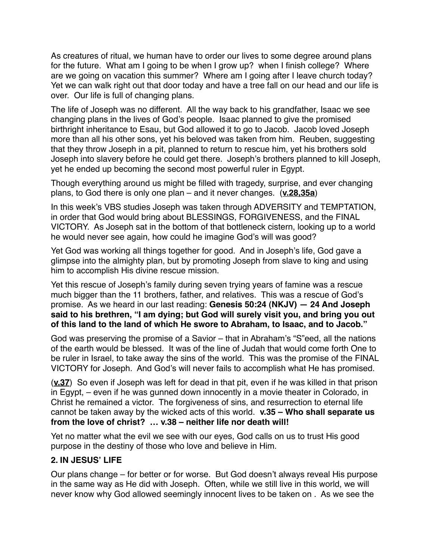As creatures of ritual, we human have to order our lives to some degree around plans for the future. What am I going to be when I grow up? when I finish college? Where are we going on vacation this summer? Where am I going after I leave church today? Yet we can walk right out that door today and have a tree fall on our head and our life is over. Our life is full of changing plans.

The life of Joseph was no different. All the way back to his grandfather, Isaac we see changing plans in the lives of God's people. Isaac planned to give the promised birthright inheritance to Esau, but God allowed it to go to Jacob. Jacob loved Joseph more than all his other sons, yet his beloved was taken from him. Reuben, suggesting that they throw Joseph in a pit, planned to return to rescue him, yet his brothers sold Joseph into slavery before he could get there. Joseph's brothers planned to kill Joseph, yet he ended up becoming the second most powerful ruler in Egypt.

Though everything around us might be filled with tragedy, surprise, and ever changing plans, to God there is only one plan – and it never changes. (**v.28,35a**)

In this week's VBS studies Joseph was taken through ADVERSITY and TEMPTATION, in order that God would bring about BLESSINGS, FORGIVENESS, and the FINAL VICTORY. As Joseph sat in the bottom of that bottleneck cistern, looking up to a world he would never see again, how could he imagine God's will was good?

Yet God was working all things together for good. And in Joseph's life, God gave a glimpse into the almighty plan, but by promoting Joseph from slave to king and using him to accomplish His divine rescue mission.

Yet this rescue of Joseph's family during seven trying years of famine was a rescue much bigger than the 11 brothers, father, and relatives. This was a rescue of God's promise. As we heard in our last reading: **Genesis 50:24 (NKJV) — 24 And Joseph said to his brethren, "I am dying; but God will surely visit you, and bring you out of this land to the land of which He swore to Abraham, to Isaac, and to Jacob."**

God was preserving the promise of a Savior – that in Abraham's "S"eed, all the nations of the earth would be blessed. It was of the line of Judah that would come forth One to be ruler in Israel, to take away the sins of the world. This was the promise of the FINAL VICTORY for Joseph. And God's will never fails to accomplish what He has promised.

(**v.37**) So even if Joseph was left for dead in that pit, even if he was killed in that prison in Egypt, – even if he was gunned down innocently in a movie theater in Colorado, in Christ he remained a victor. The forgiveness of sins, and resurrection to eternal life cannot be taken away by the wicked acts of this world. **v.35 – Who shall separate us from the love of christ? … v.38 – neither life nor death will!**

Yet no matter what the evil we see with our eyes, God calls on us to trust His good purpose in the destiny of those who love and believe in Him.

## **2. IN JESUS' LIFE**

Our plans change – for better or for worse. But God doesn't always reveal His purpose in the same way as He did with Joseph. Often, while we still live in this world, we will never know why God allowed seemingly innocent lives to be taken on . As we see the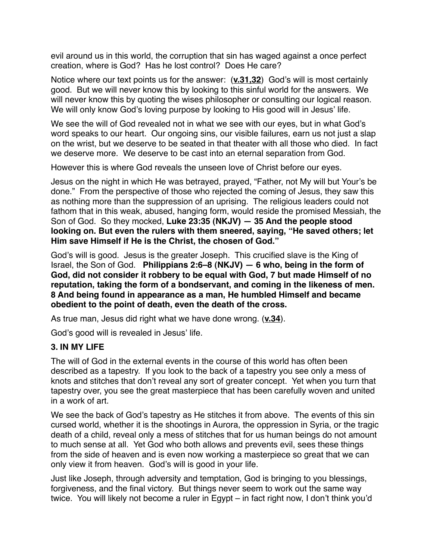evil around us in this world, the corruption that sin has waged against a once perfect creation, where is God? Has he lost control? Does He care?

Notice where our text points us for the answer: (**v.31,32**) God's will is most certainly good. But we will never know this by looking to this sinful world for the answers. We will never know this by quoting the wises philosopher or consulting our logical reason. We will only know God's loving purpose by looking to His good will in Jesus' life.

We see the will of God revealed not in what we see with our eyes, but in what God's word speaks to our heart. Our ongoing sins, our visible failures, earn us not just a slap on the wrist, but we deserve to be seated in that theater with all those who died. In fact we deserve more. We deserve to be cast into an eternal separation from God.

However this is where God reveals the unseen love of Christ before our eyes.

Jesus on the night in which He was betrayed, prayed, "Father, not My will but Your's be done." From the perspective of those who rejected the coming of Jesus, they saw this as nothing more than the suppression of an uprising. The religious leaders could not fathom that in this weak, abused, hanging form, would reside the promised Messiah, the Son of God. So they mocked, **Luke 23:35 (NKJV) — 35 And the people stood looking on. But even the rulers with them sneered, saying, "He saved others; let Him save Himself if He is the Christ, the chosen of God."**

God's will is good. Jesus is the greater Joseph. This crucified slave is the King of Israel, the Son of God. **Philippians 2:6–8 (NKJV) — 6 who, being in the form of God, did not consider it robbery to be equal with God, 7 but made Himself of no reputation, taking the form of a bondservant, and coming in the likeness of men. 8 And being found in appearance as a man, He humbled Himself and became obedient to the point of death, even the death of the cross.**

As true man, Jesus did right what we have done wrong. (**v.34**).

God's good will is revealed in Jesus' life.

## **3. IN MY LIFE**

The will of God in the external events in the course of this world has often been described as a tapestry. If you look to the back of a tapestry you see only a mess of knots and stitches that don't reveal any sort of greater concept. Yet when you turn that tapestry over, you see the great masterpiece that has been carefully woven and united in a work of art.

We see the back of God's tapestry as He stitches it from above. The events of this sin cursed world, whether it is the shootings in Aurora, the oppression in Syria, or the tragic death of a child, reveal only a mess of stitches that for us human beings do not amount to much sense at all. Yet God who both allows and prevents evil, sees these things from the side of heaven and is even now working a masterpiece so great that we can only view it from heaven. God's will is good in your life.

Just like Joseph, through adversity and temptation, God is bringing to you blessings, forgiveness, and the final victory. But things never seem to work out the same way twice. You will likely not become a ruler in Egypt – in fact right now, I don't think you'd